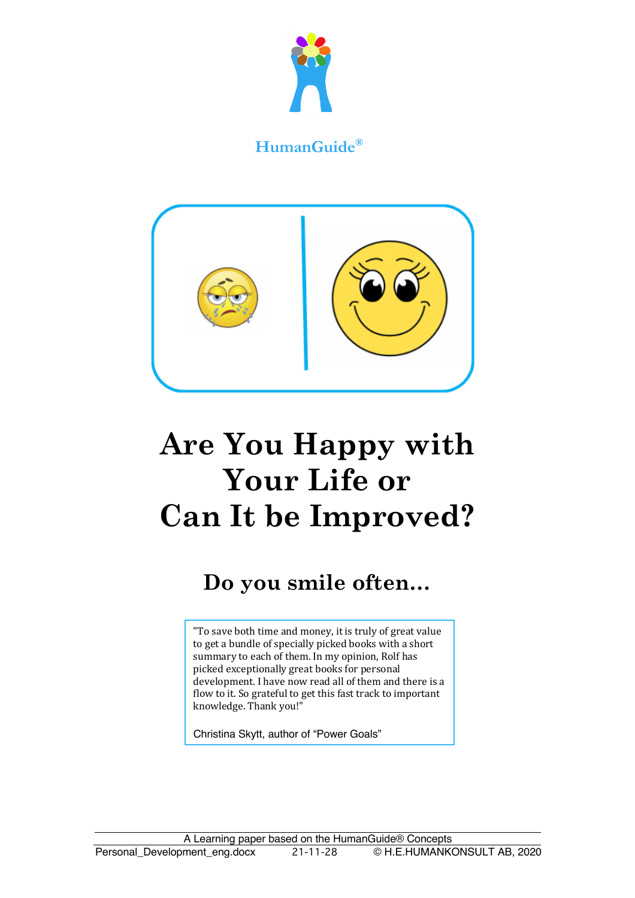

## **HumanGuide®**



# **Are You Happy with Your Life or Can It be Improved?**

## **Do you smile often…**

"To save both time and money, it is truly of great value to get a bundle of specially picked books with a short summary to each of them. In my opinion, Rolf has picked exceptionally great books for personal development. I have now read all of them and there is a flow to it. So grateful to get this fast track to important knowledge. Thank you!"

Christina Skytt, author of "Power Goals"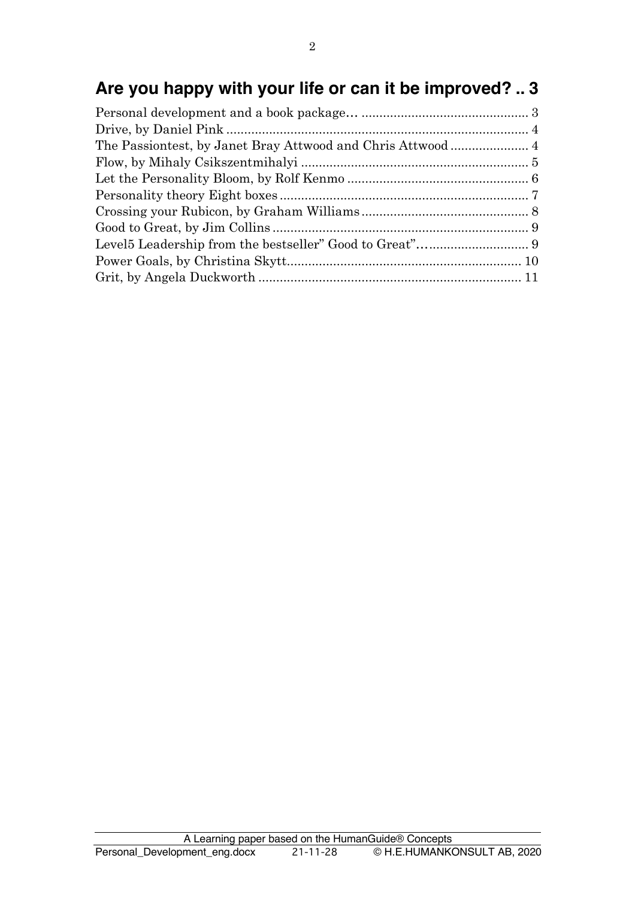## **Are you happy with your life or can it be improved? .. 3**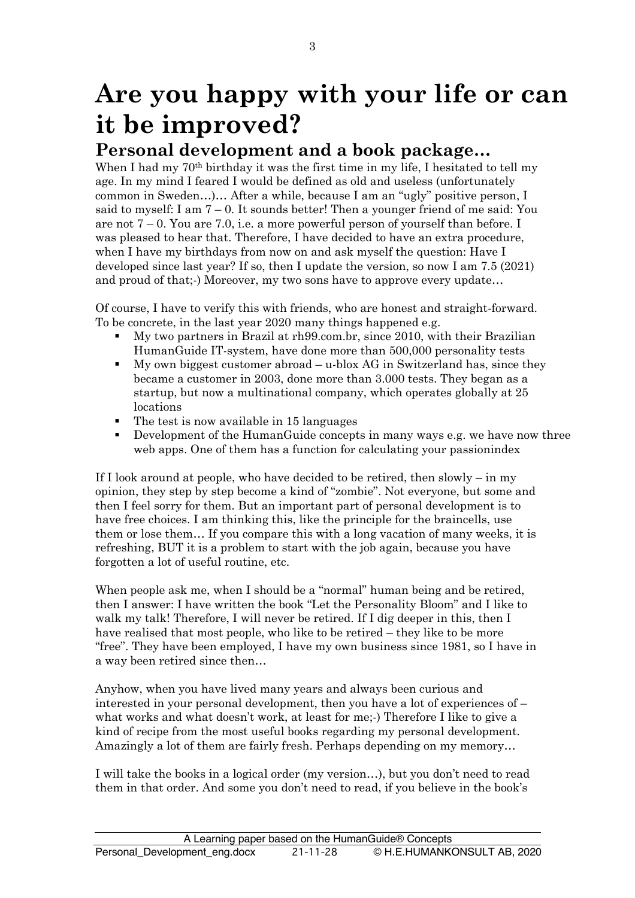## **Are you happy with your life or can it be improved?**

## **Personal development and a book package…**

When I had my 70<sup>th</sup> birthday it was the first time in my life. I hesitated to tell my age. In my mind I feared I would be defined as old and useless (unfortunately common in Sweden…)… After a while, because I am an "ugly" positive person, I said to myself: I am  $7 - 0$ . It sounds better! Then a younger friend of me said: You are not  $7-0$ . You are 7.0, i.e. a more powerful person of yourself than before. I was pleased to hear that. Therefore, I have decided to have an extra procedure, when I have my birthdays from now on and ask myself the question: Have I developed since last year? If so, then I update the version, so now I am 7.5 (2021) and proud of that;-) Moreover, my two sons have to approve every update…

Of course, I have to verify this with friends, who are honest and straight-forward. To be concrete, in the last year 2020 many things happened e.g.

- § My two partners in Brazil at rh99.com.br, since 2010, with their Brazilian HumanGuide IT-system, have done more than 500,000 personality tests
- § My own biggest customer abroad u-blox AG in Switzerland has, since they became a customer in 2003, done more than 3.000 tests. They began as a startup, but now a multinational company, which operates globally at 25 locations
- The test is now available in 15 languages
- Development of the HumanGuide concepts in many ways e.g. we have now three web apps. One of them has a function for calculating your passionindex

If I look around at people, who have decided to be retired, then slowly – in my opinion, they step by step become a kind of "zombie". Not everyone, but some and then I feel sorry for them. But an important part of personal development is to have free choices. I am thinking this, like the principle for the braincells, use them or lose them… If you compare this with a long vacation of many weeks, it is refreshing, BUT it is a problem to start with the job again, because you have forgotten a lot of useful routine, etc.

When people ask me, when I should be a "normal" human being and be retired, then I answer: I have written the book "Let the Personality Bloom" and I like to walk my talk! Therefore, I will never be retired. If I dig deeper in this, then I have realised that most people, who like to be retired – they like to be more "free". They have been employed, I have my own business since 1981, so I have in a way been retired since then…

Anyhow, when you have lived many years and always been curious and interested in your personal development, then you have a lot of experiences of – what works and what doesn't work, at least for me;-) Therefore I like to give a kind of recipe from the most useful books regarding my personal development. Amazingly a lot of them are fairly fresh. Perhaps depending on my memory…

I will take the books in a logical order (my version…), but you don't need to read them in that order. And some you don't need to read, if you believe in the book's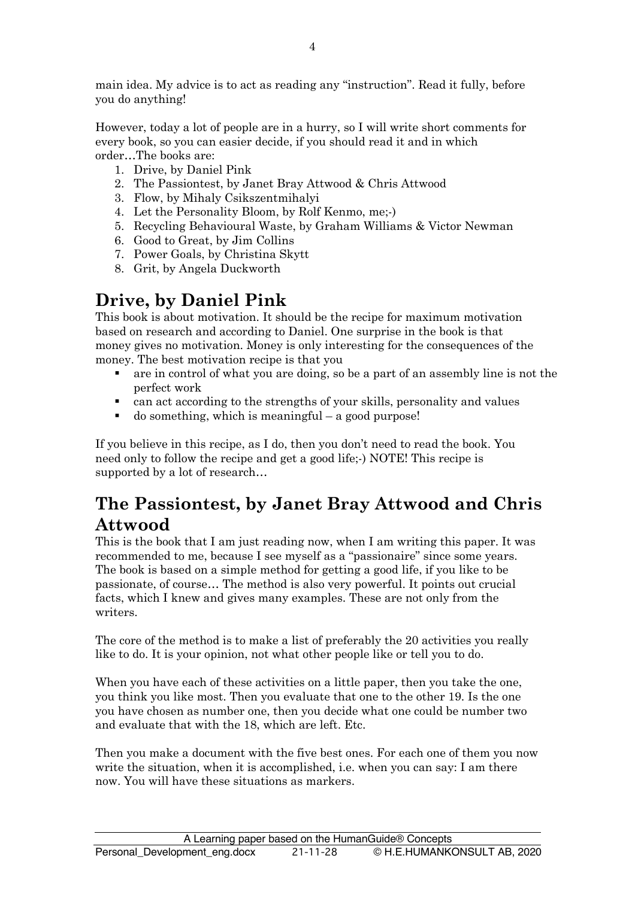main idea. My advice is to act as reading any "instruction". Read it fully, before you do anything!

However, today a lot of people are in a hurry, so I will write short comments for every book, so you can easier decide, if you should read it and in which order…The books are:

- 1. Drive, by Daniel Pink
- 2. The Passiontest, by Janet Bray Attwood & Chris Attwood
- 3. Flow, by Mihaly Csikszentmihalyi
- 4. Let the Personality Bloom, by Rolf Kenmo, me;-)
- 5. Recycling Behavioural Waste, by Graham Williams & Victor Newman
- 6. Good to Great, by Jim Collins
- 7. Power Goals, by Christina Skytt
- 8. Grit, by Angela Duckworth

## **Drive, by Daniel Pink**

This book is about motivation. It should be the recipe for maximum motivation based on research and according to Daniel. One surprise in the book is that money gives no motivation. Money is only interesting for the consequences of the money. The best motivation recipe is that you

- are in control of what you are doing, so be a part of an assembly line is not the perfect work
- can act according to the strengths of your skills, personality and values
- $\bullet$  do something, which is meaningful a good purpose!

If you believe in this recipe, as I do, then you don't need to read the book. You need only to follow the recipe and get a good life;-) NOTE! This recipe is supported by a lot of research…

## **The Passiontest, by Janet Bray Attwood and Chris Attwood**

This is the book that I am just reading now, when I am writing this paper. It was recommended to me, because I see myself as a "passionaire" since some years. The book is based on a simple method for getting a good life, if you like to be passionate, of course… The method is also very powerful. It points out crucial facts, which I knew and gives many examples. These are not only from the writers.

The core of the method is to make a list of preferably the 20 activities you really like to do. It is your opinion, not what other people like or tell you to do.

When you have each of these activities on a little paper, then you take the one, you think you like most. Then you evaluate that one to the other 19. Is the one you have chosen as number one, then you decide what one could be number two and evaluate that with the 18, which are left. Etc.

Then you make a document with the five best ones. For each one of them you now write the situation, when it is accomplished, i.e. when you can say: I am there now. You will have these situations as markers.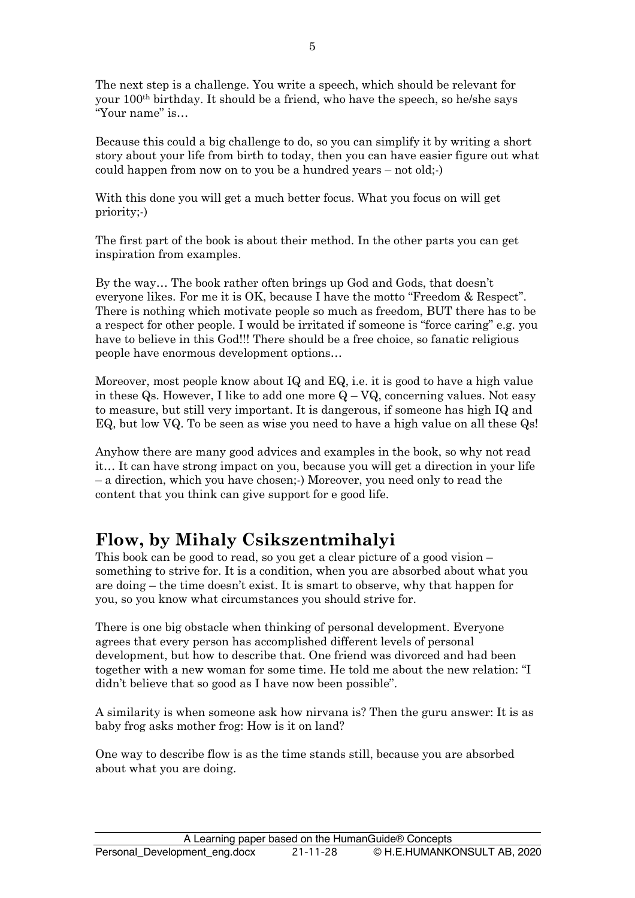The next step is a challenge. You write a speech, which should be relevant for your 100th birthday. It should be a friend, who have the speech, so he/she says "Your name" is…

Because this could a big challenge to do, so you can simplify it by writing a short story about your life from birth to today, then you can have easier figure out what could happen from now on to you be a hundred years – not old;-)

With this done you will get a much better focus. What you focus on will get priority;-)

The first part of the book is about their method. In the other parts you can get inspiration from examples.

By the way… The book rather often brings up God and Gods, that doesn't everyone likes. For me it is OK, because I have the motto "Freedom & Respect". There is nothing which motivate people so much as freedom, BUT there has to be a respect for other people. I would be irritated if someone is "force caring" e.g. you have to believe in this God!!! There should be a free choice, so fanatic religious people have enormous development options…

Moreover, most people know about IQ and EQ, i.e. it is good to have a high value in these Qs. However, I like to add one more  $Q - VQ$ , concerning values. Not easy to measure, but still very important. It is dangerous, if someone has high IQ and EQ, but low VQ. To be seen as wise you need to have a high value on all these Qs!

Anyhow there are many good advices and examples in the book, so why not read it… It can have strong impact on you, because you will get a direction in your life – a direction, which you have chosen;-) Moreover, you need only to read the content that you think can give support for e good life.

## **Flow, by Mihaly Csikszentmihalyi**

This book can be good to read, so you get a clear picture of a good vision – something to strive for. It is a condition, when you are absorbed about what you are doing – the time doesn't exist. It is smart to observe, why that happen for you, so you know what circumstances you should strive for.

There is one big obstacle when thinking of personal development. Everyone agrees that every person has accomplished different levels of personal development, but how to describe that. One friend was divorced and had been together with a new woman for some time. He told me about the new relation: "I didn't believe that so good as I have now been possible".

A similarity is when someone ask how nirvana is? Then the guru answer: It is as baby frog asks mother frog: How is it on land?

One way to describe flow is as the time stands still, because you are absorbed about what you are doing.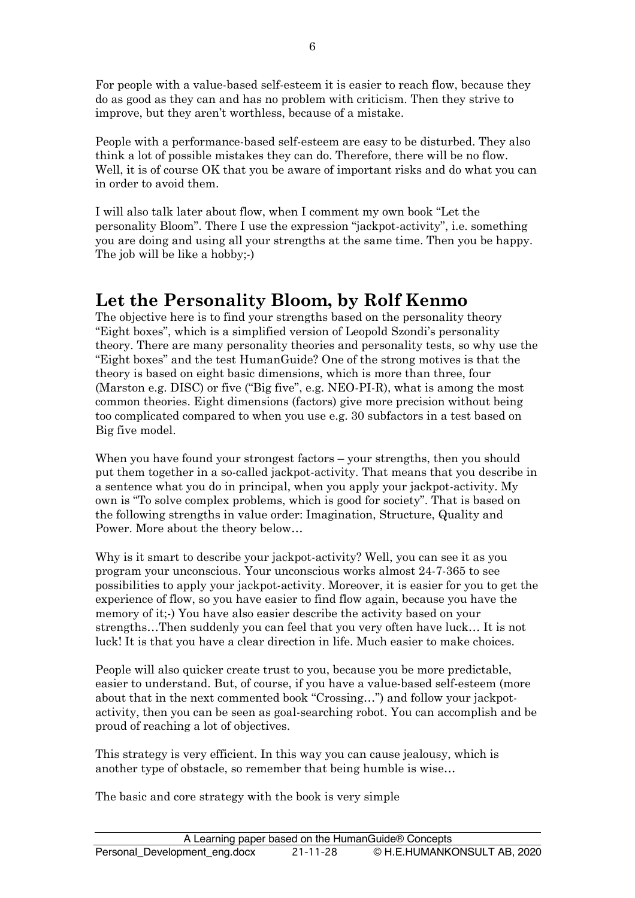For people with a value-based self-esteem it is easier to reach flow, because they do as good as they can and has no problem with criticism. Then they strive to improve, but they aren't worthless, because of a mistake.

People with a performance-based self-esteem are easy to be disturbed. They also think a lot of possible mistakes they can do. Therefore, there will be no flow. Well, it is of course OK that you be aware of important risks and do what you can in order to avoid them.

I will also talk later about flow, when I comment my own book "Let the personality Bloom". There I use the expression "jackpot-activity", i.e. something you are doing and using all your strengths at the same time. Then you be happy. The job will be like a hobby;-)

#### **Let the Personality Bloom, by Rolf Kenmo**

The objective here is to find your strengths based on the personality theory "Eight boxes", which is a simplified version of Leopold Szondi's personality theory. There are many personality theories and personality tests, so why use the "Eight boxes" and the test HumanGuide? One of the strong motives is that the theory is based on eight basic dimensions, which is more than three, four (Marston e.g. DISC) or five ("Big five", e.g. NEO-PI-R), what is among the most common theories. Eight dimensions (factors) give more precision without being too complicated compared to when you use e.g. 30 subfactors in a test based on Big five model.

When you have found your strongest factors – your strengths, then you should put them together in a so-called jackpot-activity. That means that you describe in a sentence what you do in principal, when you apply your jackpot-activity. My own is "To solve complex problems, which is good for society". That is based on the following strengths in value order: Imagination, Structure, Quality and Power. More about the theory below…

Why is it smart to describe your jackpot-activity? Well, you can see it as you program your unconscious. Your unconscious works almost 24-7-365 to see possibilities to apply your jackpot-activity. Moreover, it is easier for you to get the experience of flow, so you have easier to find flow again, because you have the memory of it;-) You have also easier describe the activity based on your strengths…Then suddenly you can feel that you very often have luck… It is not luck! It is that you have a clear direction in life. Much easier to make choices.

People will also quicker create trust to you, because you be more predictable, easier to understand. But, of course, if you have a value-based self-esteem (more about that in the next commented book "Crossing…") and follow your jackpotactivity, then you can be seen as goal-searching robot. You can accomplish and be proud of reaching a lot of objectives.

This strategy is very efficient. In this way you can cause jealousy, which is another type of obstacle, so remember that being humble is wise…

The basic and core strategy with the book is very simple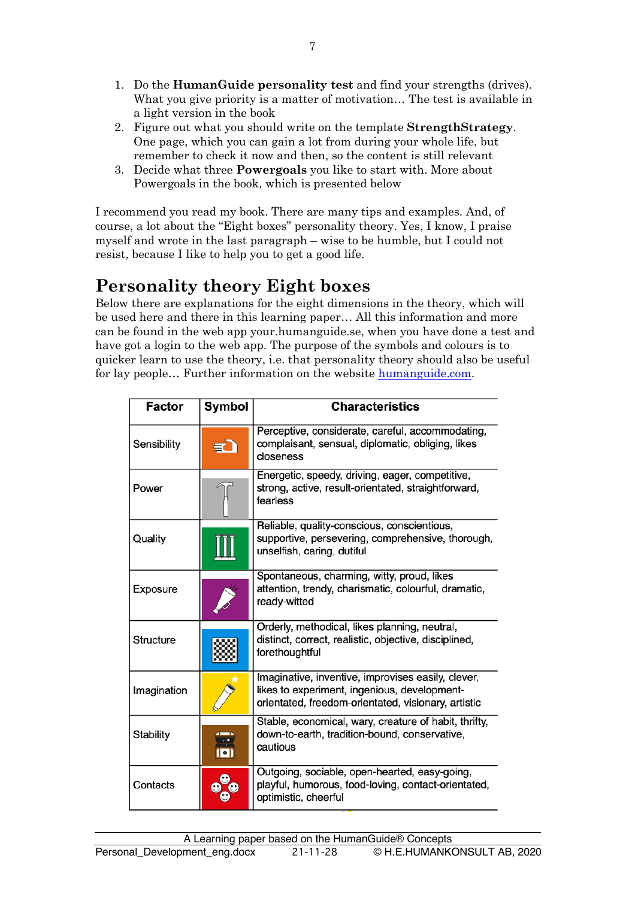- 1. Do the **HumanGuide personality test** and find your strengths (drives). What you give priority is a matter of motivation… The test is available in a light version in the book
- 2. Figure out what you should write on the template **StrengthStrategy**. One page, which you can gain a lot from during your whole life, but remember to check it now and then, so the content is still relevant
- 3. Decide what three **Powergoals** you like to start with. More about Powergoals in the book, which is presented below

I recommend you read my book. There are many tips and examples. And, of course, a lot about the "Eight boxes" personality theory. Yes, I know, I praise myself and wrote in the last paragraph – wise to be humble, but I could not resist, because I like to help you to get a good life.

## **Personality theory Eight boxes**

Below there are explanations for the eight dimensions in the theory, which will be used here and there in this learning paper… All this information and more can be found in the web app your.humanguide.se, when you have done a test and have got a login to the web app. The purpose of the symbols and colours is to quicker learn to use the theory, i.e. that personality theory should also be useful for lay people... Further information on the website humanguide.com.

| <b>Factor</b> | Symbol                   | <b>Characteristics</b>                                                                                                                                    |
|---------------|--------------------------|-----------------------------------------------------------------------------------------------------------------------------------------------------------|
| Sensibility   |                          | Perceptive, considerate, careful, accommodating,<br>complaisant, sensual, diplomatic, obliging, likes<br>closeness                                        |
| Power         |                          | Energetic, speedy, driving, eager, competitive,<br>strong, active, result-orientated, straightforward,<br>fearless                                        |
| Quality       |                          | Reliable, quality-conscious, conscientious,<br>supportive, persevering, comprehensive, thorough,<br>unselfish, caring, dutiful                            |
| Exposure      |                          | Spontaneous, charming, witty, proud, likes<br>attention, trendy, charismatic, colourful, dramatic,<br>ready-witted                                        |
| Structure     |                          | Orderly, methodical, likes planning, neutral,<br>distinct, correct, realistic, objective, disciplined,<br>forethoughtful                                  |
| Imagination   |                          | Imaginative, inventive, improvises easily, clever,<br>likes to experiment, ingenious, development-<br>orientated, freedom-orientated, visionary, artistic |
| Stability     | $\overline{\phantom{a}}$ | Stable, economical, wary, creature of habit, thrifty,<br>down-to-earth, tradition-bound, conservative,<br>cautious                                        |
| Contacts      |                          | Outgoing, sociable, open-hearted, easy-going,<br>playful, humorous, food-loving, contact-orientated,<br>optimistic, cheerful                              |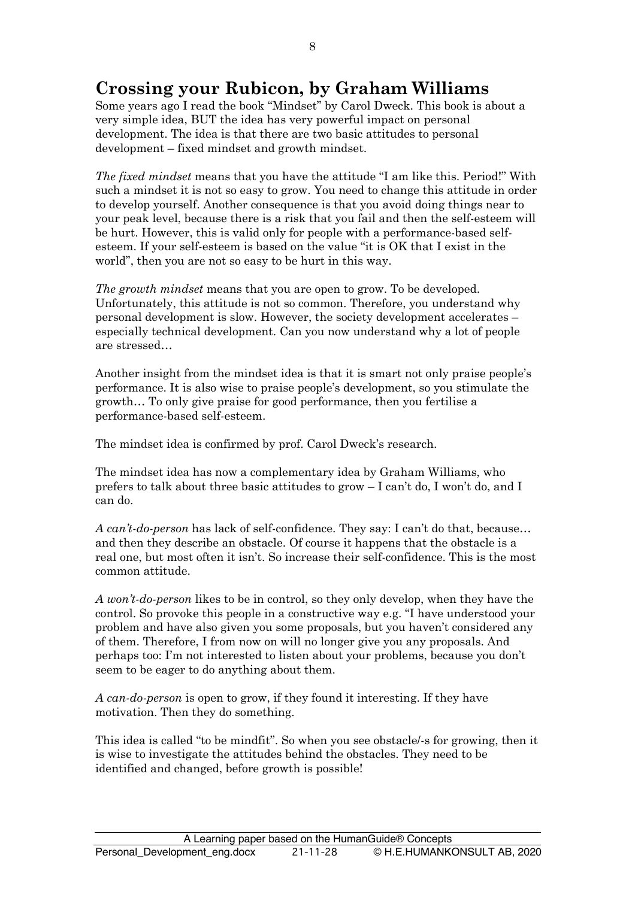## **Crossing your Rubicon, by Graham Williams**

Some years ago I read the book "Mindset" by Carol Dweck. This book is about a very simple idea, BUT the idea has very powerful impact on personal development. The idea is that there are two basic attitudes to personal development – fixed mindset and growth mindset.

*The fixed mindset* means that you have the attitude "I am like this. Period!" With such a mindset it is not so easy to grow. You need to change this attitude in order to develop yourself. Another consequence is that you avoid doing things near to your peak level, because there is a risk that you fail and then the self-esteem will be hurt. However, this is valid only for people with a performance-based selfesteem. If your self-esteem is based on the value "it is OK that I exist in the world", then you are not so easy to be hurt in this way.

*The growth mindset* means that you are open to grow. To be developed. Unfortunately, this attitude is not so common. Therefore, you understand why personal development is slow. However, the society development accelerates – especially technical development. Can you now understand why a lot of people are stressed…

Another insight from the mindset idea is that it is smart not only praise people's performance. It is also wise to praise people's development, so you stimulate the growth… To only give praise for good performance, then you fertilise a performance-based self-esteem.

The mindset idea is confirmed by prof. Carol Dweck's research.

The mindset idea has now a complementary idea by Graham Williams, who prefers to talk about three basic attitudes to grow – I can't do, I won't do, and I can do.

*A can't-do-person* has lack of self-confidence. They say: I can't do that, because… and then they describe an obstacle. Of course it happens that the obstacle is a real one, but most often it isn't. So increase their self-confidence. This is the most common attitude.

*A won't-do-person* likes to be in control, so they only develop, when they have the control. So provoke this people in a constructive way e.g. "I have understood your problem and have also given you some proposals, but you haven't considered any of them. Therefore, I from now on will no longer give you any proposals. And perhaps too: I'm not interested to listen about your problems, because you don't seem to be eager to do anything about them.

*A can-do-person* is open to grow, if they found it interesting. If they have motivation. Then they do something.

This idea is called "to be mindfit". So when you see obstacle/-s for growing, then it is wise to investigate the attitudes behind the obstacles. They need to be identified and changed, before growth is possible!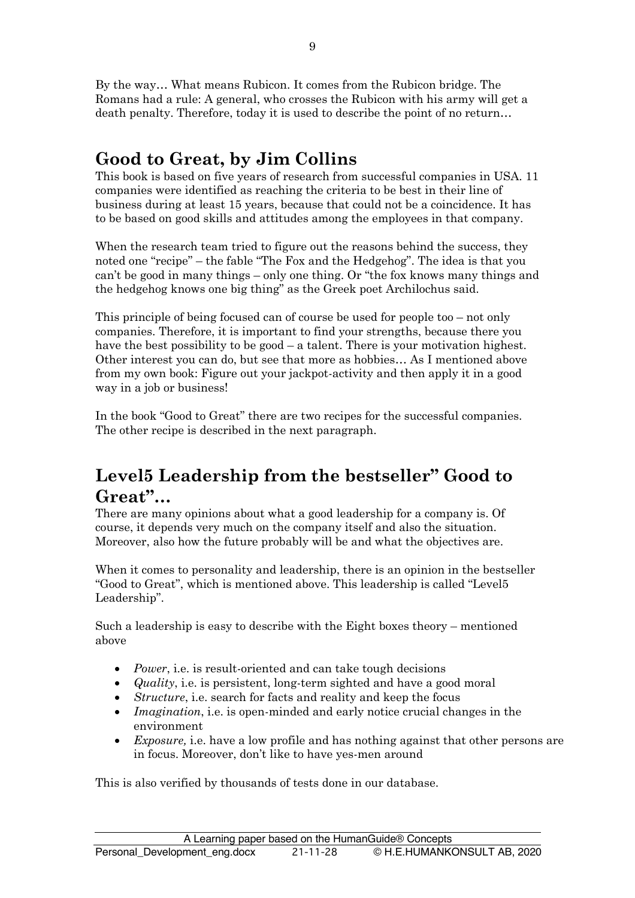By the way… What means Rubicon. It comes from the Rubicon bridge. The Romans had a rule: A general, who crosses the Rubicon with his army will get a death penalty. Therefore, today it is used to describe the point of no return…

## **Good to Great, by Jim Collins**

This book is based on five years of research from successful companies in USA. 11 companies were identified as reaching the criteria to be best in their line of business during at least 15 years, because that could not be a coincidence. It has to be based on good skills and attitudes among the employees in that company.

When the research team tried to figure out the reasons behind the success, they noted one "recipe" – the fable "The Fox and the Hedgehog". The idea is that you can't be good in many things – only one thing. Or "the fox knows many things and the hedgehog knows one big thing" as the Greek poet Archilochus said.

This principle of being focused can of course be used for people too – not only companies. Therefore, it is important to find your strengths, because there you have the best possibility to be good – a talent. There is your motivation highest. Other interest you can do, but see that more as hobbies… As I mentioned above from my own book: Figure out your jackpot-activity and then apply it in a good way in a job or business!

In the book "Good to Great" there are two recipes for the successful companies. The other recipe is described in the next paragraph.

## **Level5 Leadership from the bestseller" Good to Great"…**

There are many opinions about what a good leadership for a company is. Of course, it depends very much on the company itself and also the situation. Moreover, also how the future probably will be and what the objectives are.

When it comes to personality and leadership, there is an opinion in the bestseller "Good to Great", which is mentioned above. This leadership is called "Level5 Leadership".

Such a leadership is easy to describe with the Eight boxes theory – mentioned above

- *Power*, i.e. is result-oriented and can take tough decisions
- *Quality*, i.e. is persistent, long-term sighted and have a good moral
- *Structure*, i.e. search for facts and reality and keep the focus
- *Imagination*, i.e. is open-minded and early notice crucial changes in the environment
- *Exposure,* i.e. have a low profile and has nothing against that other persons are in focus. Moreover, don't like to have yes-men around

This is also verified by thousands of tests done in our database.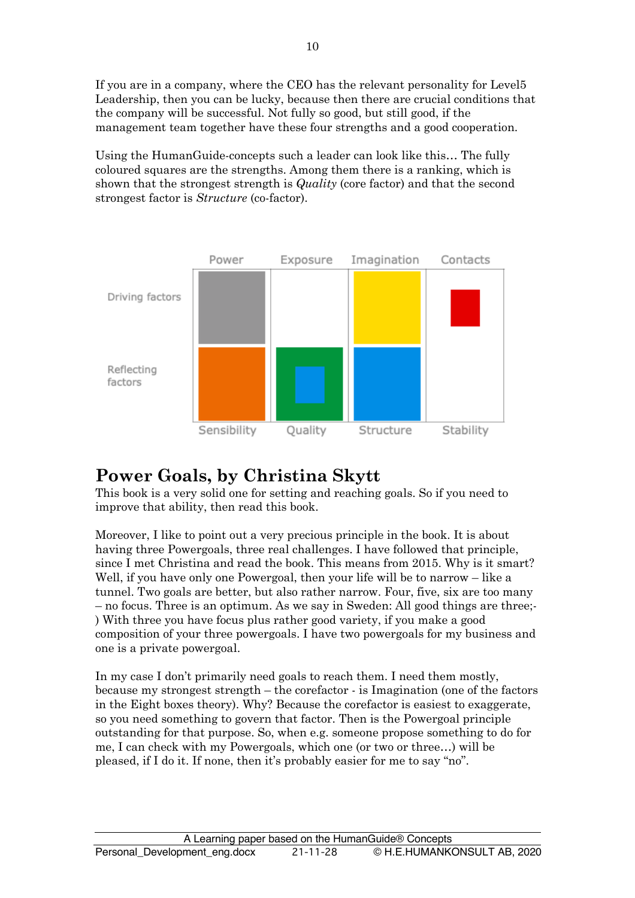If you are in a company, where the CEO has the relevant personality for Level5 Leadership, then you can be lucky, because then there are crucial conditions that the company will be successful. Not fully so good, but still good, if the management team together have these four strengths and a good cooperation.

Using the HumanGuide-concepts such a leader can look like this… The fully coloured squares are the strengths. Among them there is a ranking, which is shown that the strongest strength is *Quality* (core factor) and that the second strongest factor is *Structure* (co-factor).



## **Power Goals, by Christina Skytt**

This book is a very solid one for setting and reaching goals. So if you need to improve that ability, then read this book.

Moreover, I like to point out a very precious principle in the book. It is about having three Powergoals, three real challenges. I have followed that principle, since I met Christina and read the book. This means from 2015. Why is it smart? Well, if you have only one Powergoal, then your life will be to narrow – like a tunnel. Two goals are better, but also rather narrow. Four, five, six are too many – no focus. Three is an optimum. As we say in Sweden: All good things are three;- ) With three you have focus plus rather good variety, if you make a good composition of your three powergoals. I have two powergoals for my business and one is a private powergoal.

In my case I don't primarily need goals to reach them. I need them mostly, because my strongest strength – the corefactor - is Imagination (one of the factors in the Eight boxes theory). Why? Because the corefactor is easiest to exaggerate, so you need something to govern that factor. Then is the Powergoal principle outstanding for that purpose. So, when e.g. someone propose something to do for me, I can check with my Powergoals, which one (or two or three…) will be pleased, if I do it. If none, then it's probably easier for me to say "no".